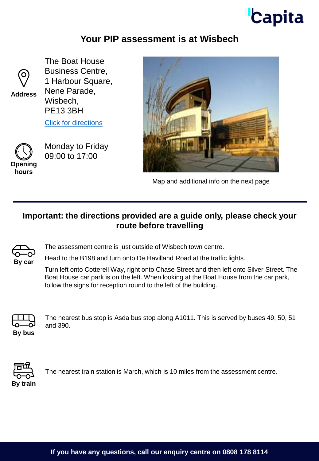## **Capita**

## **Your PIP assessment is at Wisbech**



**Address**

The Boat House Business Centre, 1 Harbour Square, Nene Parade, Wisbech, PE13 3BH

[Click for directions](https://goo.gl/maps/KvPyi9XNguxEMQgd9)



Monday to Friday 09:00 to 17:00

**hours**



Map and additional info on the next page

## **Important: the directions provided are a guide only, please check your route before travelling**



The assessment centre is just outside of Wisbech town centre.

Head to the B198 and turn onto De Havilland Road at the traffic lights.

Turn left onto Cotterell Way, right onto Chase Street and then left onto Silver Street. The Boat House car park is on the left. When looking at the Boat House from the car park, follow the signs for reception round to the left of the building.



The nearest bus stop is Asda bus stop along A1011. This is served by buses 49, 50, 51 and 390.



The nearest train station is March, which is 10 miles from the assessment centre.